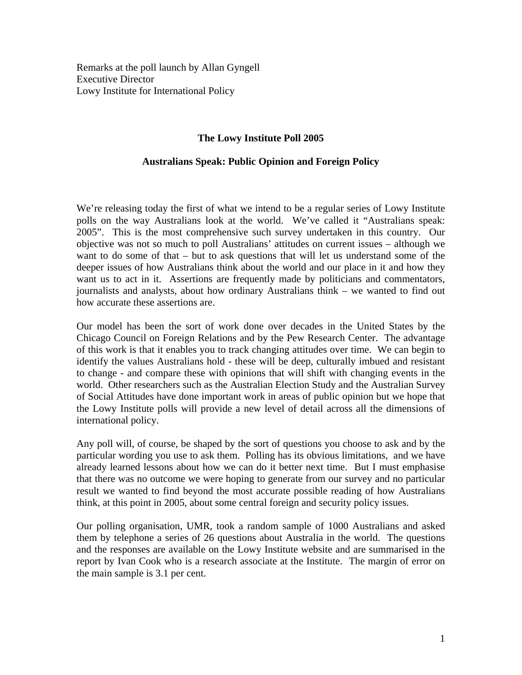Remarks at the poll launch by Allan Gyngell Executive Director Lowy Institute for International Policy

## **The Lowy Institute Poll 2005**

## **Australians Speak: Public Opinion and Foreign Policy**

We're releasing today the first of what we intend to be a regular series of Lowy Institute polls on the way Australians look at the world. We've called it "Australians speak: 2005". This is the most comprehensive such survey undertaken in this country. Our objective was not so much to poll Australians' attitudes on current issues – although we want to do some of that – but to ask questions that will let us understand some of the deeper issues of how Australians think about the world and our place in it and how they want us to act in it. Assertions are frequently made by politicians and commentators, journalists and analysts, about how ordinary Australians think – we wanted to find out how accurate these assertions are.

Our model has been the sort of work done over decades in the United States by the Chicago Council on Foreign Relations and by the Pew Research Center. The advantage of this work is that it enables you to track changing attitudes over time. We can begin to identify the values Australians hold - these will be deep, culturally imbued and resistant to change - and compare these with opinions that will shift with changing events in the world. Other researchers such as the Australian Election Study and the Australian Survey of Social Attitudes have done important work in areas of public opinion but we hope that the Lowy Institute polls will provide a new level of detail across all the dimensions of international policy.

Any poll will, of course, be shaped by the sort of questions you choose to ask and by the particular wording you use to ask them. Polling has its obvious limitations, and we have already learned lessons about how we can do it better next time. But I must emphasise that there was no outcome we were hoping to generate from our survey and no particular result we wanted to find beyond the most accurate possible reading of how Australians think, at this point in 2005, about some central foreign and security policy issues.

Our polling organisation, UMR, took a random sample of 1000 Australians and asked them by telephone a series of 26 questions about Australia in the world. The questions and the responses are available on the Lowy Institute website and are summarised in the report by Ivan Cook who is a research associate at the Institute. The margin of error on the main sample is 3.1 per cent.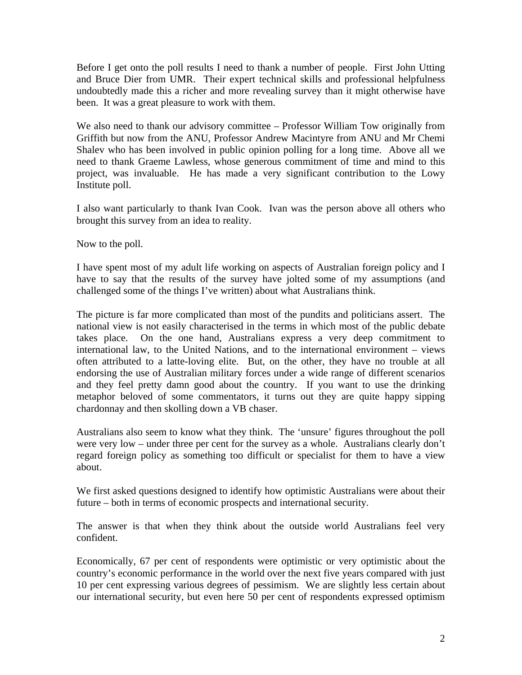Before I get onto the poll results I need to thank a number of people. First John Utting and Bruce Dier from UMR. Their expert technical skills and professional helpfulness undoubtedly made this a richer and more revealing survey than it might otherwise have been. It was a great pleasure to work with them.

We also need to thank our advisory committee – Professor William Tow originally from Griffith but now from the ANU, Professor Andrew Macintyre from ANU and Mr Chemi Shalev who has been involved in public opinion polling for a long time. Above all we need to thank Graeme Lawless, whose generous commitment of time and mind to this project, was invaluable. He has made a very significant contribution to the Lowy Institute poll.

I also want particularly to thank Ivan Cook. Ivan was the person above all others who brought this survey from an idea to reality.

Now to the poll.

I have spent most of my adult life working on aspects of Australian foreign policy and I have to say that the results of the survey have jolted some of my assumptions (and challenged some of the things I've written) about what Australians think.

The picture is far more complicated than most of the pundits and politicians assert. The national view is not easily characterised in the terms in which most of the public debate takes place. On the one hand, Australians express a very deep commitment to international law, to the United Nations, and to the international environment – views often attributed to a latte-loving elite. But, on the other, they have no trouble at all endorsing the use of Australian military forces under a wide range of different scenarios and they feel pretty damn good about the country. If you want to use the drinking metaphor beloved of some commentators, it turns out they are quite happy sipping chardonnay and then skolling down a VB chaser.

Australians also seem to know what they think. The 'unsure' figures throughout the poll were very low – under three per cent for the survey as a whole. Australians clearly don't regard foreign policy as something too difficult or specialist for them to have a view about.

We first asked questions designed to identify how optimistic Australians were about their future – both in terms of economic prospects and international security.

The answer is that when they think about the outside world Australians feel very confident.

Economically, 67 per cent of respondents were optimistic or very optimistic about the country's economic performance in the world over the next five years compared with just 10 per cent expressing various degrees of pessimism. We are slightly less certain about our international security, but even here 50 per cent of respondents expressed optimism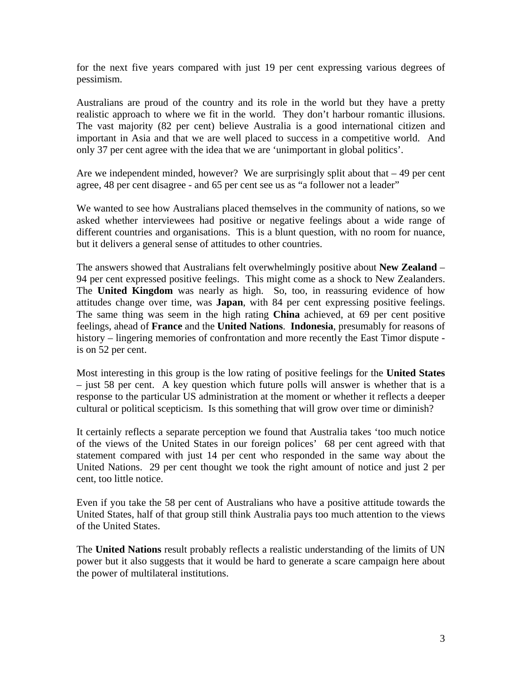for the next five years compared with just 19 per cent expressing various degrees of pessimism.

Australians are proud of the country and its role in the world but they have a pretty realistic approach to where we fit in the world. They don't harbour romantic illusions. The vast majority (82 per cent) believe Australia is a good international citizen and important in Asia and that we are well placed to success in a competitive world. And only 37 per cent agree with the idea that we are 'unimportant in global politics'.

Are we independent minded, however? We are surprisingly split about that  $-49$  per cent agree, 48 per cent disagree - and 65 per cent see us as "a follower not a leader"

We wanted to see how Australians placed themselves in the community of nations, so we asked whether interviewees had positive or negative feelings about a wide range of different countries and organisations. This is a blunt question, with no room for nuance, but it delivers a general sense of attitudes to other countries.

The answers showed that Australians felt overwhelmingly positive about **New Zealand** – 94 per cent expressed positive feelings. This might come as a shock to New Zealanders. The **United Kingdom** was nearly as high. So, too, in reassuring evidence of how attitudes change over time, was **Japan**, with 84 per cent expressing positive feelings. The same thing was seem in the high rating **China** achieved, at 69 per cent positive feelings, ahead of **France** and the **United Nations**. **Indonesia**, presumably for reasons of history – lingering memories of confrontation and more recently the East Timor dispute is on 52 per cent.

Most interesting in this group is the low rating of positive feelings for the **United States** – just 58 per cent. A key question which future polls will answer is whether that is a response to the particular US administration at the moment or whether it reflects a deeper cultural or political scepticism. Is this something that will grow over time or diminish?

It certainly reflects a separate perception we found that Australia takes 'too much notice of the views of the United States in our foreign polices' 68 per cent agreed with that statement compared with just 14 per cent who responded in the same way about the United Nations. 29 per cent thought we took the right amount of notice and just 2 per cent, too little notice.

Even if you take the 58 per cent of Australians who have a positive attitude towards the United States, half of that group still think Australia pays too much attention to the views of the United States.

The **United Nations** result probably reflects a realistic understanding of the limits of UN power but it also suggests that it would be hard to generate a scare campaign here about the power of multilateral institutions.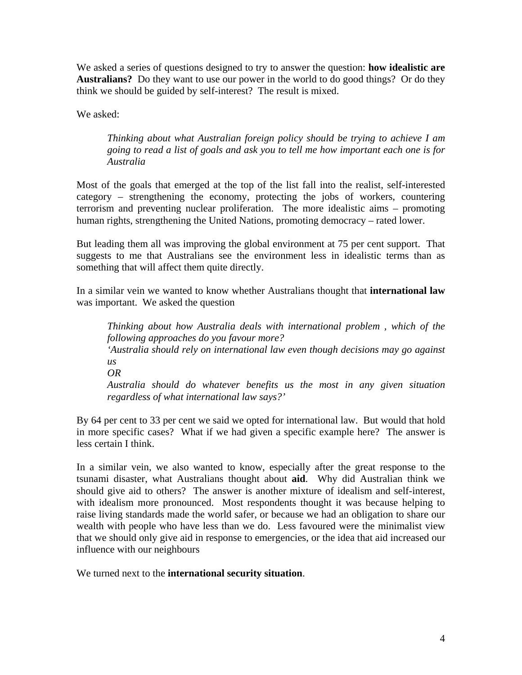We asked a series of questions designed to try to answer the question: **how idealistic are Australians?** Do they want to use our power in the world to do good things? Or do they think we should be guided by self-interest? The result is mixed.

We asked:

*Thinking about what Australian foreign policy should be trying to achieve I am going to read a list of goals and ask you to tell me how important each one is for Australia*

Most of the goals that emerged at the top of the list fall into the realist, self-interested category – strengthening the economy, protecting the jobs of workers, countering terrorism and preventing nuclear proliferation. The more idealistic aims – promoting human rights, strengthening the United Nations, promoting democracy – rated lower.

But leading them all was improving the global environment at 75 per cent support. That suggests to me that Australians see the environment less in idealistic terms than as something that will affect them quite directly.

In a similar vein we wanted to know whether Australians thought that **international law** was important. We asked the question

*Thinking about how Australia deals with international problem , which of the following approaches do you favour more? 'Australia should rely on international law even though decisions may go against*   $\overline{u}$ *s OR Australia should do whatever benefits us the most in any given situation regardless of what international law says?'* 

By 64 per cent to 33 per cent we said we opted for international law. But would that hold in more specific cases? What if we had given a specific example here? The answer is less certain I think.

In a similar vein, we also wanted to know, especially after the great response to the tsunami disaster, what Australians thought about **aid**. Why did Australian think we should give aid to others? The answer is another mixture of idealism and self-interest, with idealism more pronounced. Most respondents thought it was because helping to raise living standards made the world safer, or because we had an obligation to share our wealth with people who have less than we do. Less favoured were the minimalist view that we should only give aid in response to emergencies, or the idea that aid increased our influence with our neighbours

We turned next to the **international security situation**.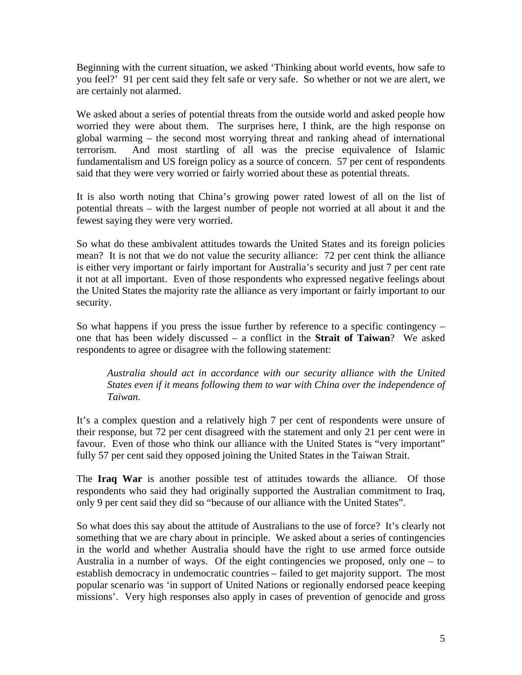Beginning with the current situation, we asked 'Thinking about world events, how safe to you feel?' 91 per cent said they felt safe or very safe. So whether or not we are alert, we are certainly not alarmed.

We asked about a series of potential threats from the outside world and asked people how worried they were about them. The surprises here, I think, are the high response on global warming – the second most worrying threat and ranking ahead of international terrorism. And most startling of all was the precise equivalence of Islamic fundamentalism and US foreign policy as a source of concern. 57 per cent of respondents said that they were very worried or fairly worried about these as potential threats.

It is also worth noting that China's growing power rated lowest of all on the list of potential threats – with the largest number of people not worried at all about it and the fewest saying they were very worried.

So what do these ambivalent attitudes towards the United States and its foreign policies mean? It is not that we do not value the security alliance: 72 per cent think the alliance is either very important or fairly important for Australia's security and just 7 per cent rate it not at all important. Even of those respondents who expressed negative feelings about the United States the majority rate the alliance as very important or fairly important to our security.

So what happens if you press the issue further by reference to a specific contingency – one that has been widely discussed – a conflict in the **Strait of Taiwan**? We asked respondents to agree or disagree with the following statement:

*Australia should act in accordance with our security alliance with the United States even if it means following them to war with China over the independence of Taiwan.* 

It's a complex question and a relatively high 7 per cent of respondents were unsure of their response, but 72 per cent disagreed with the statement and only 21 per cent were in favour. Even of those who think our alliance with the United States is "very important" fully 57 per cent said they opposed joining the United States in the Taiwan Strait.

The **Iraq War** is another possible test of attitudes towards the alliance. Of those respondents who said they had originally supported the Australian commitment to Iraq, only 9 per cent said they did so "because of our alliance with the United States".

So what does this say about the attitude of Australians to the use of force? It's clearly not something that we are chary about in principle. We asked about a series of contingencies in the world and whether Australia should have the right to use armed force outside Australia in a number of ways. Of the eight contingencies we proposed, only one – to establish democracy in undemocratic countries – failed to get majority support. The most popular scenario was 'in support of United Nations or regionally endorsed peace keeping missions'. Very high responses also apply in cases of prevention of genocide and gross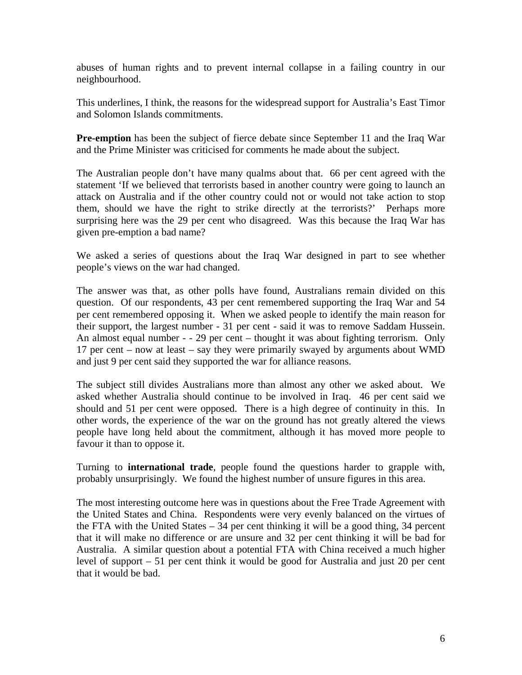abuses of human rights and to prevent internal collapse in a failing country in our neighbourhood.

This underlines, I think, the reasons for the widespread support for Australia's East Timor and Solomon Islands commitments.

**Pre-emption** has been the subject of fierce debate since September 11 and the Iraq War and the Prime Minister was criticised for comments he made about the subject.

The Australian people don't have many qualms about that. 66 per cent agreed with the statement 'If we believed that terrorists based in another country were going to launch an attack on Australia and if the other country could not or would not take action to stop them, should we have the right to strike directly at the terrorists?' Perhaps more surprising here was the 29 per cent who disagreed. Was this because the Iraq War has given pre-emption a bad name?

We asked a series of questions about the Iraq War designed in part to see whether people's views on the war had changed.

The answer was that, as other polls have found, Australians remain divided on this question. Of our respondents, 43 per cent remembered supporting the Iraq War and 54 per cent remembered opposing it. When we asked people to identify the main reason for their support, the largest number - 31 per cent - said it was to remove Saddam Hussein. An almost equal number - - 29 per cent – thought it was about fighting terrorism. Only 17 per cent – now at least – say they were primarily swayed by arguments about WMD and just 9 per cent said they supported the war for alliance reasons.

The subject still divides Australians more than almost any other we asked about. We asked whether Australia should continue to be involved in Iraq. 46 per cent said we should and 51 per cent were opposed. There is a high degree of continuity in this. In other words, the experience of the war on the ground has not greatly altered the views people have long held about the commitment, although it has moved more people to favour it than to oppose it.

Turning to **international trade**, people found the questions harder to grapple with, probably unsurprisingly. We found the highest number of unsure figures in this area.

The most interesting outcome here was in questions about the Free Trade Agreement with the United States and China. Respondents were very evenly balanced on the virtues of the FTA with the United States – 34 per cent thinking it will be a good thing, 34 percent that it will make no difference or are unsure and 32 per cent thinking it will be bad for Australia. A similar question about a potential FTA with China received a much higher level of support – 51 per cent think it would be good for Australia and just 20 per cent that it would be bad.